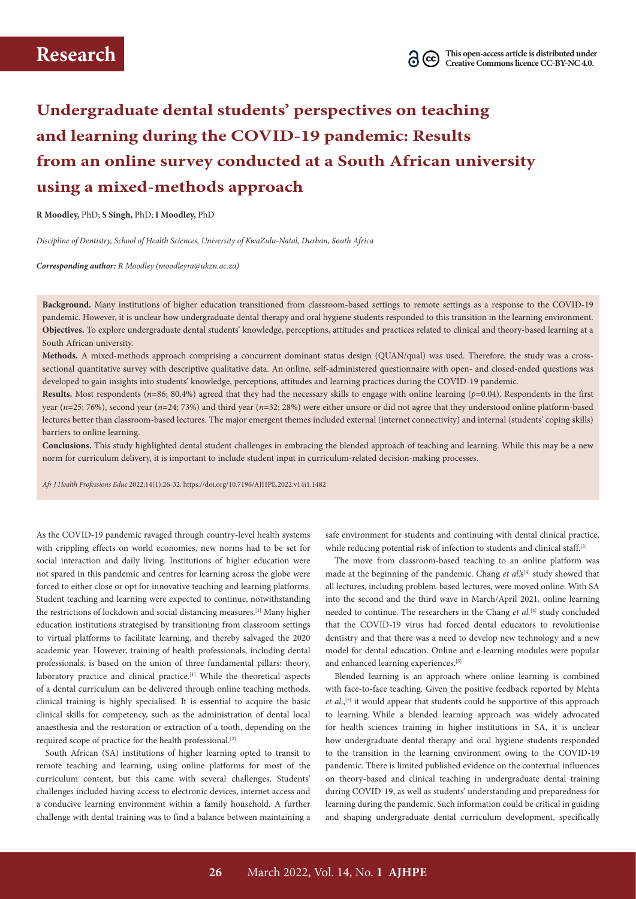# **Undergraduate dental students' perspectives on teaching and learning during the COVID-19 pandemic: Results from an online survey conducted at a South African university using a mixed-methods approach**

**R Moodley,** PhD; **S Singh,** PhD; **I Moodley,** PhD

*Discipline of Dentistry, School of Health Sciences, University of KwaZulu-Natal, Durban, South Africa*

*Corresponding author: R Moodley ([moodleyra@ukzn.ac.za](mailto:moodleyra@ukzn.ac.za))* 

**Background.** Many institutions of higher education transitioned from classroom-based settings to remote settings as a response to the COVID-19 pandemic. However, it is unclear how undergraduate dental therapy and oral hygiene students responded to this transition in the learning environment. **Objectives.** To explore undergraduate dental students' knowledge, perceptions, attitudes and practices related to clinical and theory-based learning at a South African university.

**Methods.** A mixed-methods approach comprising a concurrent dominant status design (QUAN/qual) was used. Therefore, the study was a crosssectional quantitative survey with descriptive qualitative data. An online, self-administered questionnaire with open- and closed-ended questions was developed to gain insights into students' knowledge, perceptions, attitudes and learning practices during the COVID-19 pandemic.

**Results.** Most respondents (*n*=86; 80.4%) agreed that they had the necessary skills to engage with online learning (*p*=0.04). Respondents in the first year (*n*=25; 76%), second year (*n*=24; 73%) and third year (*n*=32; 28%) were either unsure or did not agree that they understood online platform-based lectures better than classroom-based lectures. The major emergent themes included external (internet connectivity) and internal (students' coping skills) barriers to online learning.

**Conclusions.** This study highlighted dental student challenges in embracing the blended approach of teaching and learning. While this may be a new norm for curriculum delivery, it is important to include student input in curriculum-related decision-making processes.

*Afr J Health Professions Educ* 2022;14(1):26-32. <https://doi.org/10.7196/AJHPE.2022.v14i1.1482>

As the COVID-19 pandemic ravaged through country-level health systems with crippling effects on world economies, new norms had to be set for social interaction and daily living. Institutions of higher education were not spared in this pandemic and centres for learning across the globe were forced to either close or opt for innovative teaching and learning platforms. Student teaching and learning were expected to continue, notwithstanding the restrictions of lockdown and social distancing measures.<sup>[1]</sup> Many higher education institutions strategised by transitioning from classroom settings to virtual platforms to facilitate learning, and thereby salvaged the 2020 academic year. However, training of health professionals, including dental professionals, is based on the union of three fundamental pillars: theory, laboratory practice and clinical practice.<sup>[1]</sup> While the theoretical aspects of a dental curriculum can be delivered through online teaching methods, clinical training is highly specialised. It is essential to acquire the basic clinical skills for competency, such as the administration of dental local anaesthesia and the restoration or extraction of a tooth, depending on the required scope of practice for the health professional.<sup>[2]</sup>

South African (SA) institutions of higher learning opted to transit to remote teaching and learning, using online platforms for most of the curriculum content, but this came with several challenges. Students' challenges included having access to electronic devices, internet access and a conducive learning environment within a family household. A further challenge with dental training was to find a balance between maintaining a

safe environment for students and continuing with dental clinical practice, while reducing potential risk of infection to students and clinical staff.<sup>[3]</sup>

The move from classroom-based teaching to an online platform was made at the beginning of the pandemic. Chang et al.'s<sup>[4]</sup> study showed that all lectures, including problem-based lectures, were moved online. With SA into the second and the third wave in March/April 2021, online learning needed to continue. The researchers in the Chang *et al.*<sup>[4]</sup> study concluded that the COVID-19 virus had forced dental educators to revolutionise dentistry and that there was a need to develop new technology and a new model for dental education. Online and e-learning modules were popular and enhanced learning experiences.<sup>[5]</sup>

Blended learning is an approach where online learning is combined with face-to-face teaching. Given the positive feedback reported by Mehta *et al.*,<sup>[5]</sup> it would appear that students could be supportive of this approach to learning. While a blended learning approach was widely advocated for health sciences training in higher institutions in SA, it is unclear how undergraduate dental therapy and oral hygiene students responded to the transition in the learning environment owing to the COVID-19 pandemic. There is limited published evidence on the contextual influences on theory-based and clinical teaching in undergraduate dental training during COVID-19, as well as students' understanding and preparedness for learning during the pandemic. Such information could be critical in guiding and shaping undergraduate dental curriculum development, specifically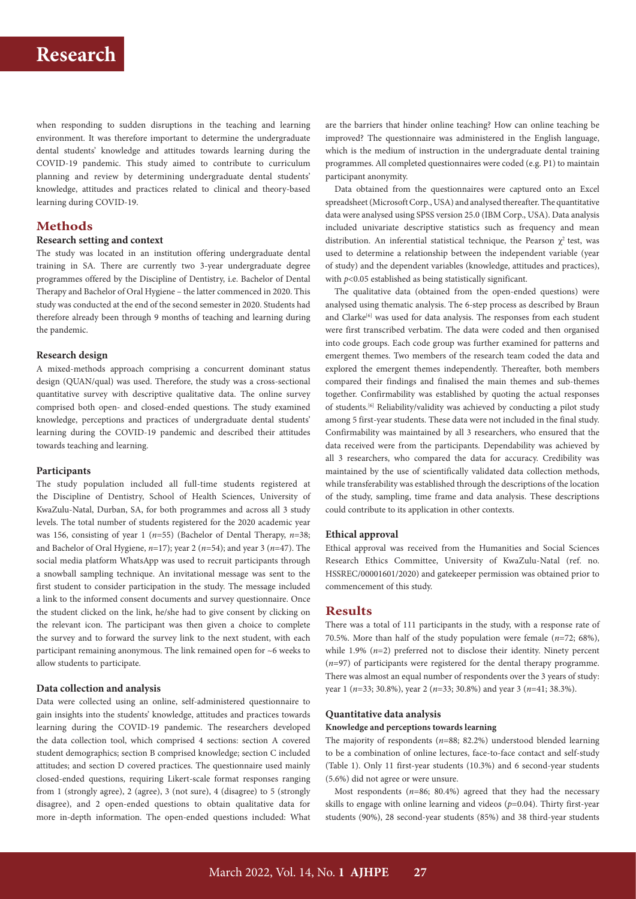when responding to sudden disruptions in the teaching and learning environment. It was therefore important to determine the undergraduate dental students' knowledge and attitudes towards learning during the COVID-19 pandemic. This study aimed to contribute to curriculum planning and review by determining undergraduate dental students' knowledge, attitudes and practices related to clinical and theory-based learning during COVID-19.

# **Methods**

# **Research setting and context**

The study was located in an institution offering undergraduate dental training in SA. There are currently two 3-year undergraduate degree programmes offered by the Discipline of Dentistry, i.e. Bachelor of Dental Therapy and Bachelor of Oral Hygiene – the latter commenced in 2020. This study was conducted at the end of the second semester in 2020. Students had therefore already been through 9 months of teaching and learning during the pandemic.

### **Research design**

A mixed-methods approach comprising a concurrent dominant status design (QUAN/qual) was used. Therefore, the study was a cross-sectional quantitative survey with descriptive qualitative data. The online survey comprised both open- and closed-ended questions. The study examined knowledge, perceptions and practices of undergraduate dental students' learning during the COVID-19 pandemic and described their attitudes towards teaching and learning.

### **Participants**

The study population included all full-time students registered at the Discipline of Dentistry, School of Health Sciences, University of KwaZulu-Natal, Durban, SA, for both programmes and across all 3 study levels. The total number of students registered for the 2020 academic year was 156, consisting of year 1 (*n*=55) (Bachelor of Dental Therapy, *n*=38; and Bachelor of Oral Hygiene, *n*=17); year 2 (*n*=54); and year 3 (*n*=47). The social media platform WhatsApp was used to recruit participants through a snowball sampling technique. An invitational message was sent to the first student to consider participation in the study. The message included a link to the informed consent documents and survey questionnaire. Once the student clicked on the link, he/she had to give consent by clicking on the relevant icon. The participant was then given a choice to complete the survey and to forward the survey link to the next student, with each participant remaining anonymous. The link remained open for ~6 weeks to allow students to participate.

#### **Data collection and analysis**

Data were collected using an online, self-administered questionnaire to gain insights into the students' knowledge, attitudes and practices towards learning during the COVID-19 pandemic. The researchers developed the data collection tool, which comprised 4 sections: section A covered student demographics; section B comprised knowledge; section C included attitudes; and section D covered practices. The questionnaire used mainly closed-ended questions, requiring Likert-scale format responses ranging from 1 (strongly agree), 2 (agree), 3 (not sure), 4 (disagree) to 5 (strongly disagree), and 2 open-ended questions to obtain qualitative data for more in-depth information. The open-ended questions included: What

are the barriers that hinder online teaching? How can online teaching be improved? The questionnaire was administered in the English language, which is the medium of instruction in the undergraduate dental training programmes. All completed questionnaires were coded (e.g. P1) to maintain participant anonymity.

Data obtained from the questionnaires were captured onto an Excel spreadsheet (Microsoft Corp., USA) and analysed thereafter. The quantitative data were analysed using SPSS version 25.0 (IBM Corp., USA). Data analysis included univariate descriptive statistics such as frequency and mean distribution. An inferential statistical technique, the Pearson  $\chi^2$  test, was used to determine a relationship between the independent variable (year of study) and the dependent variables (knowledge, attitudes and practices), with  $p$ <0.05 established as being statistically significant.

The qualitative data (obtained from the open-ended questions) were analysed using thematic analysis. The 6-step process as described by Braun and Clarke<sup>[6]</sup> was used for data analysis. The responses from each student were first transcribed verbatim. The data were coded and then organised into code groups. Each code group was further examined for patterns and emergent themes. Two members of the research team coded the data and explored the emergent themes independently. Thereafter, both members compared their findings and finalised the main themes and sub-themes together. Confirmability was established by quoting the actual responses of students.[6] Reliability/validity was achieved by conducting a pilot study among 5 first-year students. These data were not included in the final study. Confirmability was maintained by all 3 researchers, who ensured that the data received were from the participants. Dependability was achieved by all 3 researchers, who compared the data for accuracy. Credibility was maintained by the use of scientifically validated data collection methods, while transferability was established through the descriptions of the location of the study, sampling, time frame and data analysis. These descriptions could contribute to its application in other contexts.

#### **Ethical approval**

Ethical approval was received from the Humanities and Social Sciences Research Ethics Committee, University of KwaZulu-Natal (ref. no. HSSREC/00001601/2020) and gatekeeper permission was obtained prior to commencement of this study.

#### **Results**

There was a total of 111 participants in the study, with a response rate of 70.5%. More than half of the study population were female (*n*=72; 68%), while 1.9% (*n*=2) preferred not to disclose their identity. Ninety percent (*n*=97) of participants were registered for the dental therapy programme. There was almost an equal number of respondents over the 3 years of study: year 1 (*n*=33; 30.8%), year 2 (*n*=33; 30.8%) and year 3 (*n*=41; 38.3%).

### **Quantitative data analysis**

**Knowledge and perceptions towards learning** 

The majority of respondents (*n*=88; 82.2%) understood blended learning to be a combination of online lectures, face-to-face contact and self-study (Table 1). Only 11 first-year students (10.3%) and 6 second-year students (5.6%) did not agree or were unsure.

Most respondents (*n*=86; 80.4%) agreed that they had the necessary skills to engage with online learning and videos  $(p=0.04)$ . Thirty first-year students (90%), 28 second-year students (85%) and 38 third-year students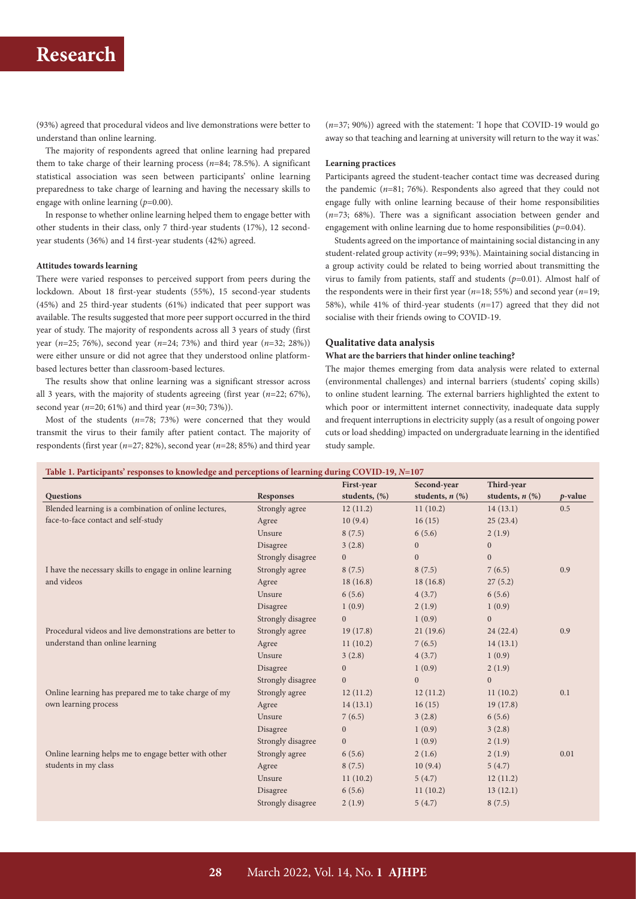(93%) agreed that procedural videos and live demonstrations were better to understand than online learning.

The majority of respondents agreed that online learning had prepared them to take charge of their learning process (*n*=84; 78.5%). A significant statistical association was seen between participants' online learning preparedness to take charge of learning and having the necessary skills to engage with online learning (*p*=0.00).

In response to whether online learning helped them to engage better with other students in their class, only 7 third-year students (17%), 12 secondyear students (36%) and 14 first-year students (42%) agreed.

#### **Attitudes towards learning**

There were varied responses to perceived support from peers during the lockdown. About 18 first-year students (55%), 15 second-year students (45%) and 25 third-year students (61%) indicated that peer support was available. The results suggested that more peer support occurred in the third year of study. The majority of respondents across all 3 years of study (first year (*n*=25; 76%), second year (*n*=24; 73%) and third year (*n*=32; 28%)) were either unsure or did not agree that they understood online platformbased lectures better than classroom-based lectures.

The results show that online learning was a significant stressor across all 3 years, with the majority of students agreeing (first year (*n*=22; 67%), second year (*n*=20; 61%) and third year (*n*=30; 73%)).

Most of the students (*n*=78; 73%) were concerned that they would transmit the virus to their family after patient contact. The majority of respondents (first year (*n*=27; 82%), second year (*n*=28; 85%) and third year

(*n*=37; 90%)) agreed with the statement: 'I hope that COVID-19 would go away so that teaching and learning at university will return to the way it was.'

#### **Learning practices**

Participants agreed the student-teacher contact time was decreased during the pandemic (*n*=81; 76%). Respondents also agreed that they could not engage fully with online learning because of their home responsibilities (*n*=73; 68%). There was a significant association between gender and engagement with online learning due to home responsibilities  $(p=0.04)$ .

Students agreed on the importance of maintaining social distancing in any student-related group activity (*n*=99; 93%). Maintaining social distancing in a group activity could be related to being worried about transmitting the virus to family from patients, staff and students (*p*=0.01). Almost half of the respondents were in their first year (*n*=18; 55%) and second year (*n*=19; 58%), while 41% of third-year students (*n*=17) agreed that they did not socialise with their friends owing to COVID-19.

#### **Qualitative data analysis**

#### **What are the barriers that hinder online teaching?**

The major themes emerging from data analysis were related to external (environmental challenges) and internal barriers (students' coping skills) to online student learning. The external barriers highlighted the extent to which poor or intermittent internet connectivity, inadequate data supply and frequent interruptions in electricity supply (as a result of ongoing power cuts or load shedding) impacted on undergraduate learning in the identified study sample.

| Table 1. Participants' responses to knowledge and perceptions of learning during COVID-19, $N=107$ |  |  |  |
|----------------------------------------------------------------------------------------------------|--|--|--|
|                                                                                                    |  |  |  |

|                                                          |                   | First-year       | Second-year          | Third-year           |            |
|----------------------------------------------------------|-------------------|------------------|----------------------|----------------------|------------|
| <b>Questions</b>                                         | <b>Responses</b>  | students, (%)    | students, $n$ $(\%)$ | students, $n$ $(\%)$ | $p$ -value |
| Blended learning is a combination of online lectures,    | Strongly agree    | 12(11.2)         | 11(10.2)             | 14(13.1)             | 0.5        |
| face-to-face contact and self-study                      | Agree             | 10(9.4)          | 16(15)               | 25(23.4)             |            |
|                                                          | Unsure            | 8(7.5)           | 6(5.6)               | 2(1.9)               |            |
|                                                          | Disagree          | 3(2.8)           | $\mathbf{0}$         | $\boldsymbol{0}$     |            |
|                                                          | Strongly disagree | $\overline{0}$   | $\boldsymbol{0}$     | $\boldsymbol{0}$     |            |
| I have the necessary skills to engage in online learning | Strongly agree    | 8(7.5)           | 8(7.5)               | 7(6.5)               | 0.9        |
| and videos                                               | Agree             | 18(16.8)         | 18(16.8)             | 27(5.2)              |            |
|                                                          | Unsure            | 6(5.6)           | 4(3.7)               | 6(5.6)               |            |
|                                                          | Disagree          | 1(0.9)           | 2(1.9)               | 1(0.9)               |            |
|                                                          | Strongly disagree | $\overline{0}$   | 1(0.9)               | $\boldsymbol{0}$     |            |
| Procedural videos and live demonstrations are better to  | Strongly agree    | 19(17.8)         | 21(19.6)             | 24(22.4)             | 0.9        |
| understand than online learning                          | Agree             | 11(10.2)         | 7(6.5)               | 14(13.1)             |            |
|                                                          | Unsure            | 3(2.8)           | 4(3.7)               | 1(0.9)               |            |
|                                                          | Disagree          | $\boldsymbol{0}$ | 1(0.9)               | 2(1.9)               |            |
|                                                          | Strongly disagree | $\overline{0}$   | $\overline{0}$       | $\overline{0}$       |            |
| Online learning has prepared me to take charge of my     | Strongly agree    | 12(11.2)         | 12(11.2)             | 11(10.2)             | 0.1        |
| own learning process                                     | Agree             | 14(13.1)         | 16(15)               | 19(17.8)             |            |
|                                                          | Unsure            | 7(6.5)           | 3(2.8)               | 6(5.6)               |            |
|                                                          | Disagree          | $\mathbf{0}$     | 1(0.9)               | 3(2.8)               |            |
|                                                          | Strongly disagree | $\overline{0}$   | 1(0.9)               | 2(1.9)               |            |
| Online learning helps me to engage better with other     | Strongly agree    | 6(5.6)           | 2(1.6)               | 2(1.9)               | 0.01       |
| students in my class                                     | Agree             | 8(7.5)           | 10(9.4)              | 5(4.7)               |            |
|                                                          | Unsure            | 11(10.2)         | 5(4.7)               | 12(11.2)             |            |
|                                                          | Disagree          | 6(5.6)           | 11(10.2)             | 13(12.1)             |            |
|                                                          | Strongly disagree | 2(1.9)           | 5(4.7)               | 8(7.5)               |            |
|                                                          |                   |                  |                      |                      |            |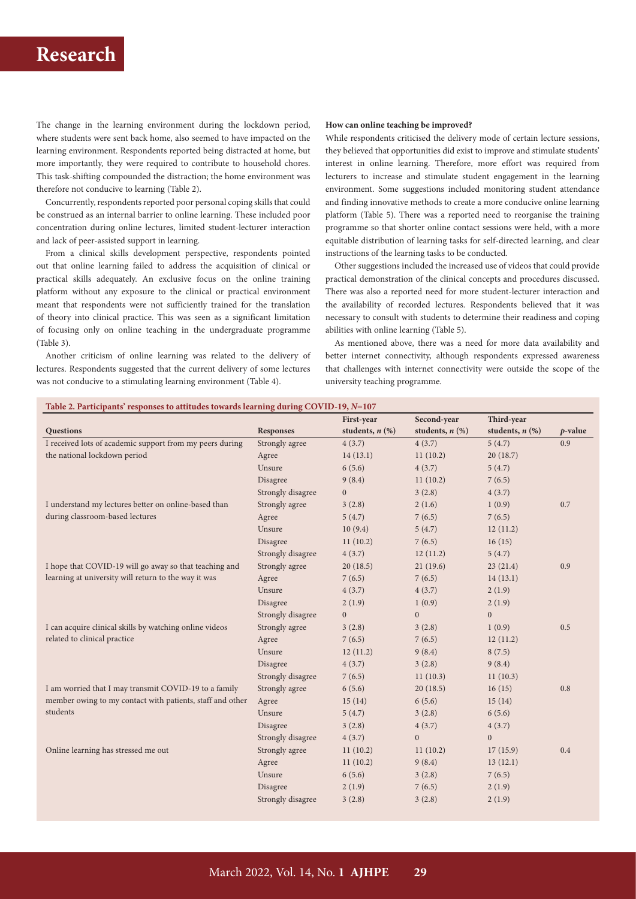The change in the learning environment during the lockdown period, where students were sent back home, also seemed to have impacted on the learning environment. Respondents reported being distracted at home, but more importantly, they were required to contribute to household chores. This task-shifting compounded the distraction; the home environment was therefore not conducive to learning (Table 2).

Concurrently, respondents reported poor personal coping skills that could be construed as an internal barrier to online learning. These included poor concentration during online lectures, limited student-lecturer interaction and lack of peer-assisted support in learning.

From a clinical skills development perspective, respondents pointed out that online learning failed to address the acquisition of clinical or practical skills adequately. An exclusive focus on the online training platform without any exposure to the clinical or practical environment meant that respondents were not sufficiently trained for the translation of theory into clinical practice. This was seen as a significant limitation of focusing only on online teaching in the undergraduate programme (Table 3).

Another criticism of online learning was related to the delivery of lectures. Respondents suggested that the current delivery of some lectures was not conducive to a stimulating learning environment (Table 4).

#### **How can online teaching be improved?**

While respondents criticised the delivery mode of certain lecture sessions, they believed that opportunities did exist to improve and stimulate students' interest in online learning. Therefore, more effort was required from lecturers to increase and stimulate student engagement in the learning environment. Some suggestions included monitoring student attendance and finding innovative methods to create a more conducive online learning platform (Table 5). There was a reported need to reorganise the training programme so that shorter online contact sessions were held, with a more equitable distribution of learning tasks for self-directed learning, and clear instructions of the learning tasks to be conducted.

Other suggestions included the increased use of videos that could provide practical demonstration of the clinical concepts and procedures discussed. There was also a reported need for more student-lecturer interaction and the availability of recorded lectures. Respondents believed that it was necessary to consult with students to determine their readiness and coping abilities with online learning (Table 5).

As mentioned above, there was a need for more data availability and better internet connectivity, although respondents expressed awareness that challenges with internet connectivity were outside the scope of the university teaching programme.

### **Table 2. Participants' responses to attitudes towards learning during COVID-19,** *N***=107**

|                                                           |                   | First-year           | Second-year          | Third-year           |            |
|-----------------------------------------------------------|-------------------|----------------------|----------------------|----------------------|------------|
| Questions                                                 | <b>Responses</b>  | students, $n$ $(\%)$ | students, $n$ $(\%)$ | students, $n$ $(\%)$ | $p$ -value |
| I received lots of academic support from my peers during  | Strongly agree    | 4(3.7)               | 4(3.7)               | 5(4.7)               | 0.9        |
| the national lockdown period                              | Agree             | 14(13.1)             | 11(10.2)             | 20(18.7)             |            |
|                                                           | Unsure            | 6(5.6)               | 4(3.7)               | 5(4.7)               |            |
|                                                           | Disagree          | 9(8.4)               | 11(10.2)             | 7(6.5)               |            |
|                                                           | Strongly disagree | $\overline{0}$       | 3(2.8)               | 4(3.7)               |            |
| I understand my lectures better on online-based than      | Strongly agree    | 3(2.8)               | 2(1.6)               | 1(0.9)               | 0.7        |
| during classroom-based lectures                           | Agree             | 5(4.7)               | 7(6.5)               | 7(6.5)               |            |
|                                                           | Unsure            | 10(9.4)              | 5(4.7)               | 12(11.2)             |            |
|                                                           | Disagree          | 11(10.2)             | 7(6.5)               | 16(15)               |            |
|                                                           | Strongly disagree | 4(3.7)               | 12(11.2)             | 5(4.7)               |            |
| I hope that COVID-19 will go away so that teaching and    | Strongly agree    | 20(18.5)             | 21(19.6)             | 23(21.4)             | 0.9        |
| learning at university will return to the way it was      | Agree             | 7(6.5)               | 7(6.5)               | 14(13.1)             |            |
|                                                           | Unsure            | 4(3.7)               | 4(3.7)               | 2(1.9)               |            |
|                                                           | Disagree          | 2(1.9)               | 1(0.9)               | 2(1.9)               |            |
|                                                           | Strongly disagree | $\overline{0}$       | $\boldsymbol{0}$     | $\mathbf{0}$         |            |
| I can acquire clinical skills by watching online videos   | Strongly agree    | 3(2.8)               | 3(2.8)               | 1(0.9)               | 0.5        |
| related to clinical practice                              | Agree             | 7(6.5)               | 7(6.5)               | 12(11.2)             |            |
|                                                           | Unsure            | 12(11.2)             | 9(8.4)               | 8(7.5)               |            |
|                                                           | Disagree          | 4(3.7)               | 3(2.8)               | 9(8.4)               |            |
|                                                           | Strongly disagree | 7(6.5)               | 11(10.3)             | 11(10.3)             |            |
| I am worried that I may transmit COVID-19 to a family     | Strongly agree    | 6(5.6)               | 20(18.5)             | 16(15)               | 0.8        |
| member owing to my contact with patients, staff and other | Agree             | 15(14)               | 6(5.6)               | 15(14)               |            |
| students                                                  | Unsure            | 5(4.7)               | 3(2.8)               | 6(5.6)               |            |
|                                                           | Disagree          | 3(2.8)               | 4(3.7)               | 4(3.7)               |            |
|                                                           | Strongly disagree | 4(3.7)               | $\mathbf{0}$         | $\overline{0}$       |            |
| Online learning has stressed me out                       | Strongly agree    | 11(10.2)             | 11(10.2)             | 17(15.9)             | 0.4        |
|                                                           | Agree             | 11(10.2)             | 9(8.4)               | 13(12.1)             |            |
|                                                           | Unsure            | 6(5.6)               | 3(2.8)               | 7(6.5)               |            |
|                                                           | Disagree          | 2(1.9)               | 7(6.5)               | 2(1.9)               |            |
|                                                           | Strongly disagree | 3(2.8)               | 3(2.8)               | 2(1.9)               |            |
|                                                           |                   |                      |                      |                      |            |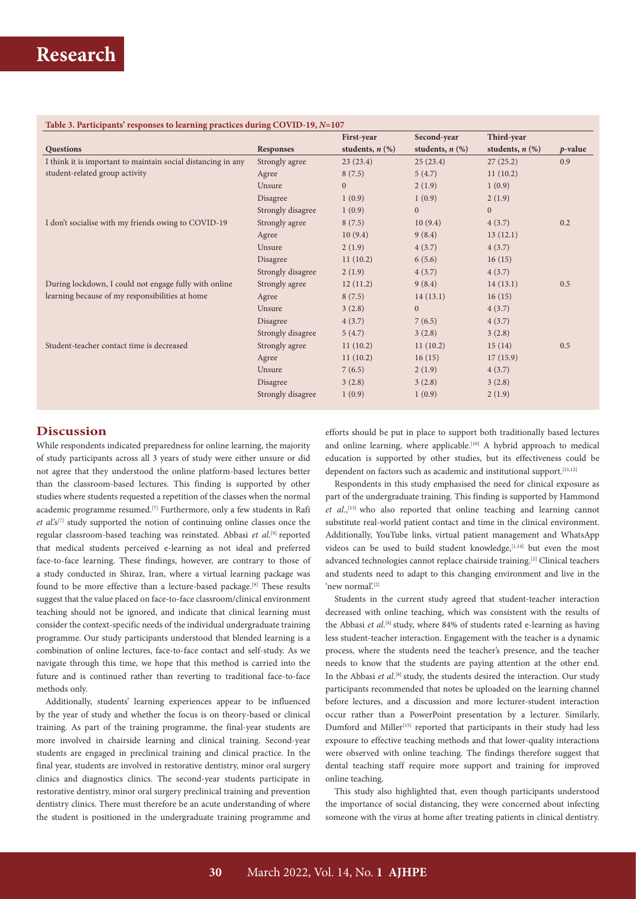### **Table 3. Participants' responses to learning practices during COVID-19,** *N***=107**

|                                                              |                   | First-year           | Second-year          | Third-year           |            |
|--------------------------------------------------------------|-------------------|----------------------|----------------------|----------------------|------------|
| Questions                                                    | <b>Responses</b>  | students, $n$ $(\%)$ | students, $n$ $(\%)$ | students, $n$ $(\%)$ | $p$ -value |
| I think it is important to maintain social distancing in any | Strongly agree    | 23(23.4)             | 25(23.4)             | 27(25.2)             | 0.9        |
| student-related group activity                               | Agree             | 8(7.5)               | 5(4.7)               | 11(10.2)             |            |
|                                                              | Unsure            | $\overline{0}$       | 2(1.9)               | 1(0.9)               |            |
|                                                              | Disagree          | 1(0.9)               | 1(0.9)               | 2(1.9)               |            |
|                                                              | Strongly disagree | 1(0.9)               | $\mathbf{0}$         | $\mathbf{0}$         |            |
| I don't socialise with my friends owing to COVID-19          | Strongly agree    | 8(7.5)               | 10(9.4)              | 4(3.7)               | 0.2        |
|                                                              | Agree             | 10(9.4)              | 9(8.4)               | 13(12.1)             |            |
|                                                              | Unsure            | 2(1.9)               | 4(3.7)               | 4(3.7)               |            |
|                                                              | Disagree          | 11(10.2)             | 6(5.6)               | 16(15)               |            |
|                                                              | Strongly disagree | 2(1.9)               | 4(3.7)               | 4(3.7)               |            |
| During lockdown, I could not engage fully with online        | Strongly agree    | 12(11.2)             | 9(8.4)               | 14(13.1)             | 0.5        |
| learning because of my responsibilities at home              | Agree             | 8(7.5)               | 14(13.1)             | 16(15)               |            |
|                                                              | Unsure            | 3(2.8)               | $\mathbf{0}$         | 4(3.7)               |            |
|                                                              | Disagree          | 4(3.7)               | 7(6.5)               | 4(3.7)               |            |
|                                                              | Strongly disagree | 5(4.7)               | 3(2.8)               | 3(2.8)               |            |
| Student-teacher contact time is decreased                    | Strongly agree    | 11(10.2)             | 11(10.2)             | 15(14)               | 0.5        |
|                                                              | Agree             | 11(10.2)             | 16(15)               | 17(15.9)             |            |
|                                                              | Unsure            | 7(6.5)               | 2(1.9)               | 4(3.7)               |            |
|                                                              | Disagree          | 3(2.8)               | 3(2.8)               | 3(2.8)               |            |
|                                                              | Strongly disagree | 1(0.9)               | 1(0.9)               | 2(1.9)               |            |

# **Discussion**

While respondents indicated preparedness for online learning, the majority of study participants across all 3 years of study were either unsure or did not agree that they understood the online platform-based lectures better than the classroom-based lectures. This finding is supported by other studies where students requested a repetition of the classes when the normal academic programme resumed.[7] Furthermore, only a few students in Rafi *et al*.'s[7] study supported the notion of continuing online classes once the regular classroom-based teaching was reinstated. Abbasi *et al*. [8] reported that medical students perceived e-learning as not ideal and preferred face-to-face learning. These findings, however, are contrary to those of a study conducted in Shiraz, Iran, where a virtual learning package was found to be more effective than a lecture-based package.<sup>[9]</sup> These results suggest that the value placed on face-to-face classroom/clinical environment teaching should not be ignored, and indicate that clinical learning must consider the context-specific needs of the individual undergraduate training programme. Our study participants understood that blended learning is a combination of online lectures, face-to-face contact and self-study. As we navigate through this time, we hope that this method is carried into the future and is continued rather than reverting to traditional face-to-face methods only.

Additionally, students' learning experiences appear to be influenced by the year of study and whether the focus is on theory-based or clinical training. As part of the training programme, the final-year students are more involved in chairside learning and clinical training. Second-year students are engaged in preclinical training and clinical practice. In the final year, students are involved in restorative dentistry, minor oral surgery clinics and diagnostics clinics. The second-year students participate in restorative dentistry, minor oral surgery preclinical training and prevention dentistry clinics. There must therefore be an acute understanding of where the student is positioned in the undergraduate training programme and

efforts should be put in place to support both traditionally based lectures and online learning, where applicable.<sup>[10]</sup> A hybrid approach to medical education is supported by other studies, but its effectiveness could be dependent on factors such as academic and institutional support.<sup>[11,12]</sup>

Respondents in this study emphasised the need for clinical exposure as part of the undergraduate training. This finding is supported by Hammond *et al.*, [13] who also reported that online teaching and learning cannot substitute real-world patient contact and time in the clinical environment. Additionally, YouTube links, virtual patient management and WhatsApp videos can be used to build student knowledge,  $[1,14]$  but even the most advanced technologies cannot replace chairside training.[2] Clinical teachers and students need to adapt to this changing environment and live in the 'new normal'.<sup>[2]</sup>

Students in the current study agreed that student-teacher interaction decreased with online teaching, which was consistent with the results of the Abbasi et al.<sup>[8]</sup> study, where 84% of students rated e-learning as having less student-teacher interaction. Engagement with the teacher is a dynamic process, where the students need the teacher's presence, and the teacher needs to know that the students are paying attention at the other end. In the Abbasi *et al.*<sup>[8]</sup> study, the students desired the interaction. Our study participants recommended that notes be uploaded on the learning channel before lectures, and a discussion and more lecturer-student interaction occur rather than a PowerPoint presentation by a lecturer. Similarly, Dumford and Miller<sup>[15]</sup> reported that participants in their study had less exposure to effective teaching methods and that lower-quality interactions were observed with online teaching. The findings therefore suggest that dental teaching staff require more support and training for improved online teaching.

This study also highlighted that, even though participants understood the importance of social distancing, they were concerned about infecting someone with the virus at home after treating patients in clinical dentistry.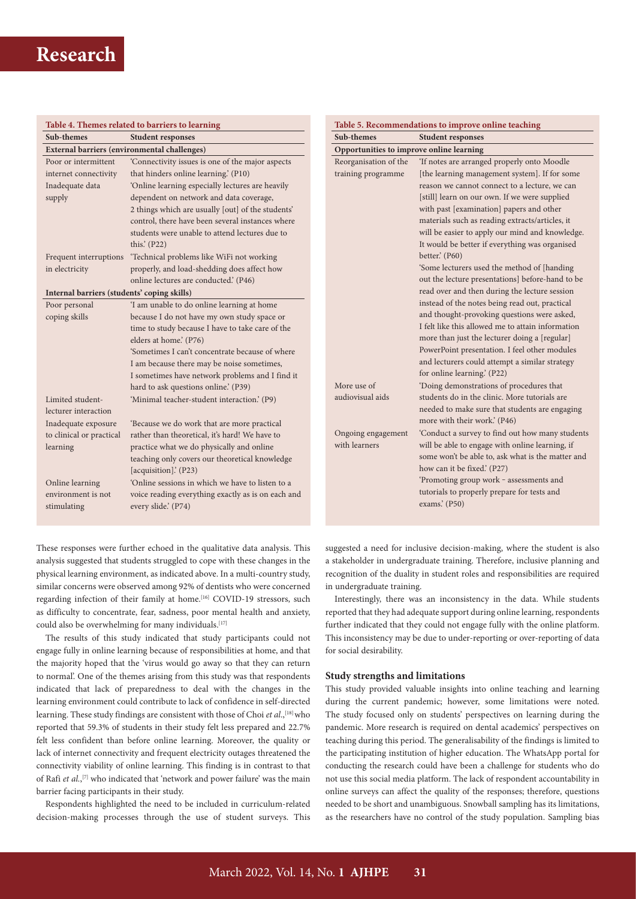| Table 4. Themes related to barriers to learning     |                                                                         |  |  |  |
|-----------------------------------------------------|-------------------------------------------------------------------------|--|--|--|
| Sub-themes                                          | <b>Student responses</b>                                                |  |  |  |
| <b>External barriers (environmental challenges)</b> |                                                                         |  |  |  |
| Poor or intermittent                                | 'Connectivity issues is one of the major aspects                        |  |  |  |
| internet connectivity                               | that hinders online learning.' (P10)                                    |  |  |  |
| Inadequate data                                     | 'Online learning especially lectures are heavily                        |  |  |  |
| supply                                              | dependent on network and data coverage,                                 |  |  |  |
|                                                     | 2 things which are usually [out] of the students'                       |  |  |  |
|                                                     | control, there have been several instances where                        |  |  |  |
|                                                     | students were unable to attend lectures due to                          |  |  |  |
|                                                     | this. $(P22)$                                                           |  |  |  |
| Frequent interruptions                              | 'Technical problems like WiFi not working                               |  |  |  |
| in electricity                                      | properly, and load-shedding does affect how                             |  |  |  |
|                                                     | online lectures are conducted. (P46)                                    |  |  |  |
| Internal barriers (students' coping skills)         |                                                                         |  |  |  |
| Poor personal                                       | 'I am unable to do online learning at home                              |  |  |  |
| coping skills                                       | because I do not have my own study space or                             |  |  |  |
|                                                     | time to study because I have to take care of the                        |  |  |  |
|                                                     | elders at home.' (P76)                                                  |  |  |  |
|                                                     | 'Sometimes I can't concentrate because of where                         |  |  |  |
|                                                     | I am because there may be noise sometimes,                              |  |  |  |
|                                                     | I sometimes have network problems and I find it                         |  |  |  |
|                                                     | hard to ask questions online.' (P39)                                    |  |  |  |
| Limited student-                                    | 'Minimal teacher-student interaction.' (P9)                             |  |  |  |
| lecturer interaction                                |                                                                         |  |  |  |
| Inadequate exposure                                 | Because we do work that are more practical                              |  |  |  |
| to clinical or practical                            | rather than theoretical, it's hard! We have to                          |  |  |  |
| learning                                            | practice what we do physically and online                               |  |  |  |
|                                                     | teaching only covers our theoretical knowledge<br>[acquisition].' (P23) |  |  |  |
| Online learning                                     | 'Online sessions in which we have to listen to a                        |  |  |  |
| environment is not                                  | voice reading everything exactly as is on each and                      |  |  |  |
| stimulating                                         | every slide.' (P74)                                                     |  |  |  |
|                                                     |                                                                         |  |  |  |

**Table 5. Recommendations to improve online teaching Sub-themes Student responses Opportunities to improve online learning** Reorganisation of the training programme 'If notes are arranged properly onto Moodle [the learning management system]. If for some reason we cannot connect to a lecture, we can [still] learn on our own. If we were supplied with past [examination] papers and other materials such as reading extracts/articles, it will be easier to apply our mind and knowledge. It would be better if everything was organised better' (P60) 'Some lecturers used the method of [handing out the lecture presentations] before-hand to be read over and then during the lecture session instead of the notes being read out, practical and thought-provoking questions were asked, I felt like this allowed me to attain information more than just the lecturer doing a [regular] PowerPoint presentation. I feel other modules and lecturers could attempt a similar strategy for online learning.' (P22) More use of audiovisual aids 'Doing demonstrations of procedures that students do in the clinic. More tutorials are needed to make sure that students are engaging more with their work.' (P46) Ongoing engagement with learners 'Conduct a survey to find out how many students will be able to engage with online learning, if some won't be able to, ask what is the matter and how can it be fixed' (P27) 'Promoting group work ‒ assessments and tutorials to properly prepare for tests and exams.' (P50)

These responses were further echoed in the qualitative data analysis. This analysis suggested that students struggled to cope with these changes in the physical learning environment, as indicated above. In a multi-country study, similar concerns were observed among 92% of dentists who were concerned regarding infection of their family at home.<sup>[16]</sup> COVID-19 stressors, such as difficulty to concentrate, fear, sadness, poor mental health and anxiety, could also be overwhelming for many individuals.<sup>[17]</sup>

The results of this study indicated that study participants could not engage fully in online learning because of responsibilities at home, and that the majority hoped that the 'virus would go away so that they can return to normal'. One of the themes arising from this study was that respondents indicated that lack of preparedness to deal with the changes in the learning environment could contribute to lack of confidence in self-directed learning. These study findings are consistent with those of Choi *et al.*,<sup>[18]</sup> who reported that 59.3% of students in their study felt less prepared and 22.7% felt less confident than before online learning. Moreover, the quality or lack of internet connectivity and frequent electricity outages threatened the connectivity viability of online learning. This finding is in contrast to that of Rafi *et al*.,<sup>[7]</sup> who indicated that 'network and power failure' was the main barrier facing participants in their study.

Respondents highlighted the need to be included in curriculum-related decision-making processes through the use of student surveys. This

suggested a need for inclusive decision-making, where the student is also a stakeholder in undergraduate training. Therefore, inclusive planning and recognition of the duality in student roles and responsibilities are required in undergraduate training.

Interestingly, there was an inconsistency in the data. While students reported that they had adequate support during online learning, respondents further indicated that they could not engage fully with the online platform. This inconsistency may be due to under-reporting or over-reporting of data for social desirability.

### **Study strengths and limitations**

This study provided valuable insights into online teaching and learning during the current pandemic; however, some limitations were noted. The study focused only on students' perspectives on learning during the pandemic. More research is required on dental academics' perspectives on teaching during this period. The generalisability of the findings is limited to the participating institution of higher education. The WhatsApp portal for conducting the research could have been a challenge for students who do not use this social media platform. The lack of respondent accountability in online surveys can affect the quality of the responses; therefore, questions needed to be short and unambiguous. Snowball sampling has its limitations, as the researchers have no control of the study population. Sampling bias